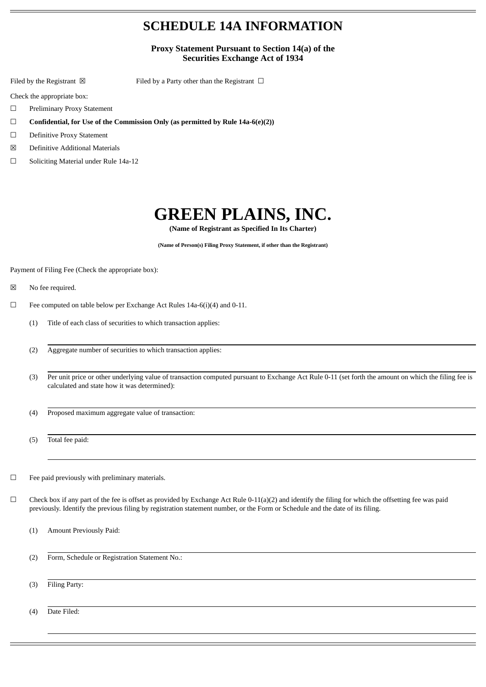# **SCHEDULE 14A INFORMATION**

### **Proxy Statement Pursuant to Section 14(a) of the Securities Exchange Act of 1934**

Filed by the Registrant  $\boxtimes$  Filed by a Party other than the Registrant  $\Box$ 

Check the appropriate box:

- ☐ Preliminary Proxy Statement
- ☐ **Confidential, for Use of the Commission Only (as permitted by Rule 14a-6(e)(2))**
- ☐ Definitive Proxy Statement
- ☒ Definitive Additional Materials
- ☐ Soliciting Material under Rule 14a-12

# **GREEN PLAINS, INC.**

**(Name of Registrant as Specified In Its Charter)**

**(Name of Person(s) Filing Proxy Statement, if other than the Registrant)**

Payment of Filing Fee (Check the appropriate box):

- ☒ No fee required.
- ☐ Fee computed on table below per Exchange Act Rules 14a-6(i)(4) and 0-11.
	- (1) Title of each class of securities to which transaction applies:
	- (2) Aggregate number of securities to which transaction applies:
	- (3) Per unit price or other underlying value of transaction computed pursuant to Exchange Act Rule 0-11 (set forth the amount on which the filing fee is calculated and state how it was determined):
	- (4) Proposed maximum aggregate value of transaction:

(5) Total fee paid:

- $\Box$  Fee paid previously with preliminary materials.
- $\Box$  Check box if any part of the fee is offset as provided by Exchange Act Rule 0-11(a)(2) and identify the filing for which the offsetting fee was paid previously. Identify the previous filing by registration statement number, or the Form or Schedule and the date of its filing.
	- (1) Amount Previously Paid:
	- (2) Form, Schedule or Registration Statement No.:

(3) Filing Party:

(4) Date Filed: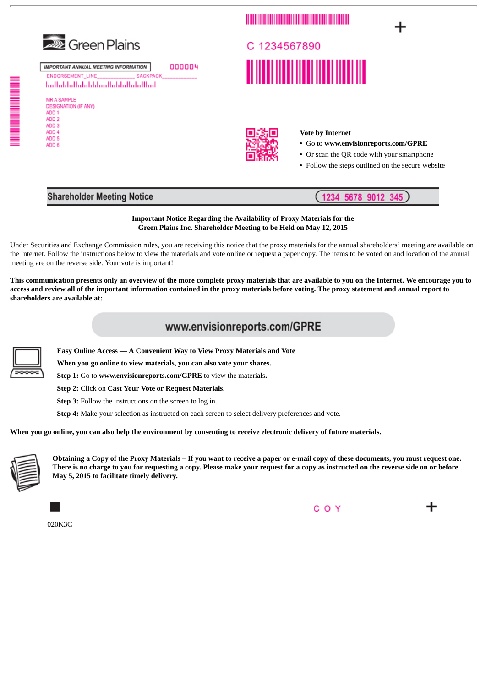

C 1234567890 

<u> 1989 - Johann Barbara, martin basa</u>

#### **Vote by Internet**

- Go to **www.envisionreports.com/GPRE**
- Or scan the QR code with your smartphone

1234 5678 9012

• Follow the steps outlined on the secure website

345

## **Shareholder Meeting Notice**

#### **Important Notice Regarding the Availability of Proxy Materials for the Green Plains Inc. Shareholder Meeting to be Held on May 12, 2015**

Under Securities and Exchange Commission rules, you are receiving this notice that the proxy materials for the annual shareholders' meeting are available on the Internet. Follow the instructions below to view the materials and vote online or request a paper copy. The items to be voted on and location of the annual meeting are on the reverse side. Your vote is important!

This communication presents only an overview of the more complete proxy materials that are available to you on the Internet. We encourage you to access and review all of the important information contained in the proxy materials before voting. The proxy statement and annual report to **shareholders are available at:**

# www.envisionreports.com/GPRE

**Easy Online Access — A Convenient Way to View Proxy Materials and Vote**

**When you go online to view materials, you can also vote your shares.**

**Step 1:** Go to **www.envisionreports.com/GPRE** to view the materials**.**

**Step 2:** Click on **Cast Your Vote or Request Materials**.

**Step 3:** Follow the instructions on the screen to log in.

**Step 4:** Make your selection as instructed on each screen to select delivery preferences and vote.

When you go online, you can also help the environment by consenting to receive electronic delivery of future materials.



Obtaining a Copy of the Proxy Materials - If you want to receive a paper or e-mail copy of these documents, you must request one. There is no charge to you for requesting a copy. Please make your request for a copy as instructed on the reverse side on or before **May 5, 2015 to facilitate timely delivery.**

020K3C





ADD<sub>2</sub> ADD<sub>3</sub> ADD 4 ADD<sub>5</sub> ADD 6